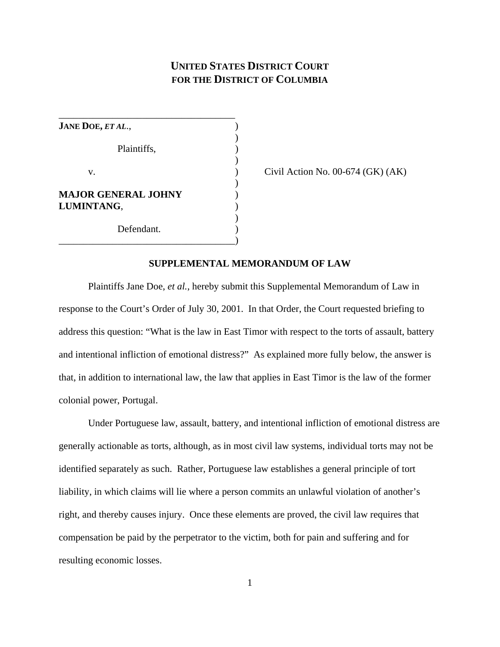# **UNITED STATES DISTRICT COURT FOR THE DISTRICT OF COLUMBIA**

| <b>JANE DOE, ET AL.,</b>   |  |
|----------------------------|--|
|                            |  |
| Plaintiffs,                |  |
|                            |  |
| v.                         |  |
| <b>MAJOR GENERAL JOHNY</b> |  |
| LUMINTANG,                 |  |
| Defendant.                 |  |
|                            |  |

Civil Action No.  $00-674$  (GK) (AK)

## **SUPPLEMENTAL MEMORANDUM OF LAW**

Plaintiffs Jane Doe, *et al.*, hereby submit this Supplemental Memorandum of Law in response to the Court's Order of July 30, 2001. In that Order, the Court requested briefing to address this question: "What is the law in East Timor with respect to the torts of assault, battery and intentional infliction of emotional distress?" As explained more fully below, the answer is that, in addition to international law, the law that applies in East Timor is the law of the former colonial power, Portugal.

Under Portuguese law, assault, battery, and intentional infliction of emotional distress are generally actionable as torts, although, as in most civil law systems, individual torts may not be identified separately as such. Rather, Portuguese law establishes a general principle of tort liability, in which claims will lie where a person commits an unlawful violation of another's right, and thereby causes injury. Once these elements are proved, the civil law requires that compensation be paid by the perpetrator to the victim, both for pain and suffering and for resulting economic losses.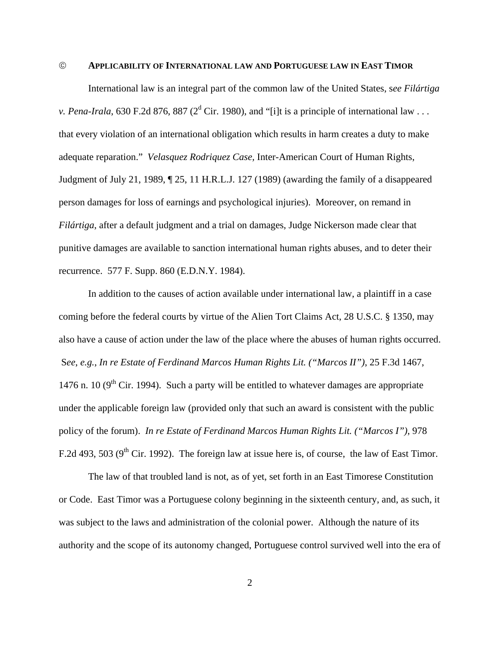#### © **APPLICABILITY OF INTERNATIONAL LAW AND PORTUGUESE LAW IN EAST TIMOR**

International law is an integral part of the common law of the United States, s*ee Filártiga v. Pena-Irala*, 630 F.2d 876, 887 ( $2<sup>d</sup>$  Cir. 1980), and "[i]t is a principle of international law . . . that every violation of an international obligation which results in harm creates a duty to make adequate reparation." *Velasquez Rodriquez Case,* Inter-American Court of Human Rights, Judgment of July 21, 1989, ¶ 25, 11 H.R.L.J. 127 (1989) (awarding the family of a disappeared person damages for loss of earnings and psychological injuries). Moreover, on remand in *Filártiga*, after a default judgment and a trial on damages, Judge Nickerson made clear that punitive damages are available to sanction international human rights abuses, and to deter their recurrence. 577 F. Supp. 860 (E.D.N.Y. 1984).

In addition to the causes of action available under international law, a plaintiff in a case coming before the federal courts by virtue of the Alien Tort Claims Act, 28 U.S.C. § 1350, may also have a cause of action under the law of the place where the abuses of human rights occurred. S*ee*, *e.g.*, *In re Estate of Ferdinand Marcos Human Rights Lit. ("Marcos II")*, 25 F.3d 1467, 1476 n. 10 ( $9<sup>th</sup>$  Cir. 1994). Such a party will be entitled to whatever damages are appropriate under the applicable foreign law (provided only that such an award is consistent with the public policy of the forum). *In re Estate of Ferdinand Marcos Human Rights Lit. ("Marcos I")*, 978 F.2d 493, 503 ( $9<sup>th</sup>$  Cir. 1992). The foreign law at issue here is, of course, the law of East Timor.

The law of that troubled land is not, as of yet, set forth in an East Timorese Constitution or Code. East Timor was a Portuguese colony beginning in the sixteenth century, and, as such, it was subject to the laws and administration of the colonial power. Although the nature of its authority and the scope of its autonomy changed, Portuguese control survived well into the era of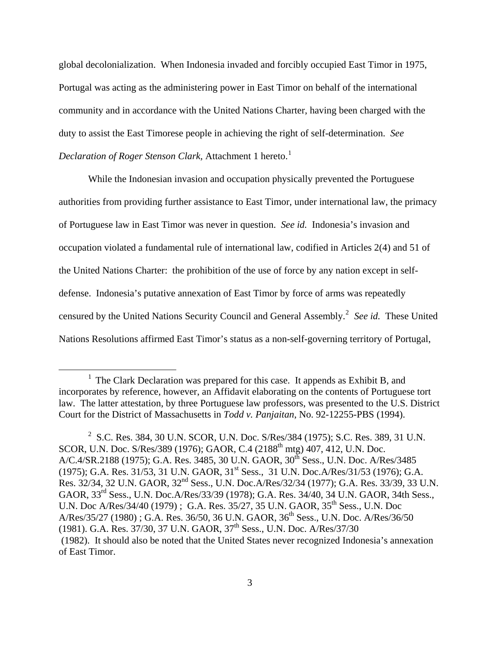global decolonialization. When Indonesia invaded and forcibly occupied East Timor in 1975, Portugal was acting as the administering power in East Timor on behalf of the international community and in accordance with the United Nations Charter, having been charged with the duty to assist the East Timorese people in achieving the right of self-determination. *See Declaration of Roger Stenson Clark, Attachment [1](#page-2-0) hereto.*<sup>1</sup>

While the Indonesian invasion and occupation physically prevented the Portuguese authorities from providing further assistance to East Timor, under international law, the primacy of Portuguese law in East Timor was never in question. *See id.* Indonesia's invasion and occupation violated a fundamental rule of international law, codified in Articles 2(4) and 51 of the United Nations Charter: the prohibition of the use of force by any nation except in selfdefense. Indonesia's putative annexation of East Timor by force of arms was repeatedly censured by the United Nations Security Council and General Assembly.<sup>[2](#page-2-1)</sup> See id. These United Nations Resolutions affirmed East Timor's status as a non-self-governing territory of Portugal,

 $\overline{a}$ 

<span id="page-2-0"></span><sup>&</sup>lt;sup>1</sup> The Clark Declaration was prepared for this case. It appends as Exhibit B, and incorporates by reference, however, an Affidavit elaborating on the contents of Portuguese tort law. The latter attestation, by three Portuguese law professors, was presented to the U.S. District Court for the District of Massachusetts in *Todd v. Panjaitan*, No. 92-12255-PBS (1994).

<span id="page-2-1"></span><sup>2</sup> S.C. Res. 384, 30 U.N. SCOR, U.N. Doc. S/Res/384 (1975); S.C. Res. 389, 31 U.N. SCOR, U.N. Doc. S/Res/389 (1976); GAOR, C.4 (2188<sup>th</sup> mtg) 407, 412, U.N. Doc. A/C.4/SR.2188 (1975); G.A. Res. 3485, 30 U.N. GAOR, 30<sup>th</sup> Sess., U.N. Doc. A/Res/3485 (1975); G.A. Res. 31/53, 31 U.N. GAOR, 31<sup>st</sup> Sess., 31 U.N. Doc.A/Res/31/53 (1976); G.A. Res. 32/34, 32 U.N. GAOR, 32nd Sess., U.N. Doc.A/Res/32/34 (1977); G.A. Res. 33/39, 33 U.N. GAOR, 33rd Sess., U.N. Doc.A/Res/33/39 (1978); G.A. Res. 34/40, 34 U.N. GAOR, 34th Sess., U.N. Doc A/Res/34/40 (1979) ; G.A. Res. 35/27, 35 U.N. GAOR, 35th Sess., U.N. Doc A/Res/35/27 (1980) ; G.A. Res. 36/50, 36 U.N. GAOR, 36th Sess., U.N. Doc. A/Res/36/50 (1981). G.A. Res. 37/30, 37 U.N. GAOR, 37th Sess., U.N. Doc. A/Res/37/30 (1982). It should also be noted that the United States never recognized Indonesia's annexation of East Timor.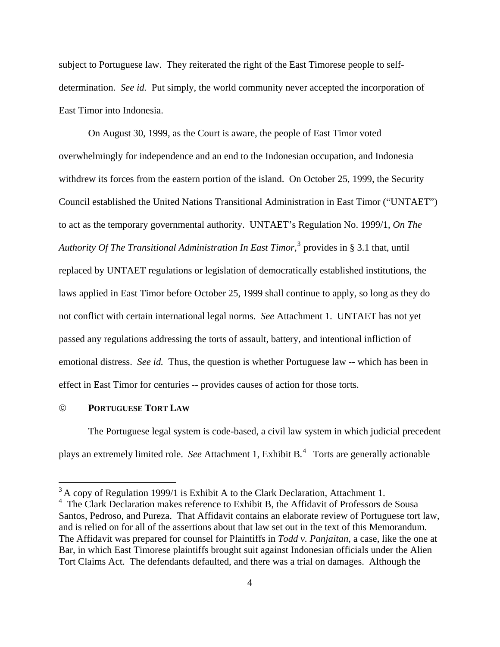subject to Portuguese law. They reiterated the right of the East Timorese people to selfdetermination. *See id.* Put simply, the world community never accepted the incorporation of East Timor into Indonesia.

On August 30, 1999, as the Court is aware, the people of East Timor voted overwhelmingly for independence and an end to the Indonesian occupation, and Indonesia withdrew its forces from the eastern portion of the island. On October 25, 1999, the Security Council established the United Nations Transitional Administration in East Timor ("UNTAET") to act as the temporary governmental authority. UNTAET's Regulation No. 1999/1, *On The*  Authority Of The Transitional Administration In East Timor,<sup>[3](#page-3-0)</sup> provides in § 3.1 that, until replaced by UNTAET regulations or legislation of democratically established institutions, the laws applied in East Timor before October 25, 1999 shall continue to apply, so long as they do not conflict with certain international legal norms. *See* Attachment 1. UNTAET has not yet passed any regulations addressing the torts of assault, battery, and intentional infliction of emotional distress. *See id.* Thus, the question is whether Portuguese law -- which has been in effect in East Timor for centuries -- provides causes of action for those torts.

## © **PORTUGUESE TORT LAW**

 $\overline{a}$ 

The Portuguese legal system is code-based, a civil law system in which judicial precedent plays an extremely limited role. *See* Attachment 1, Exhibit B*.* [4](#page-3-1) Torts are generally actionable

<span id="page-3-0"></span> $3$  A copy of Regulation 1999/1 is Exhibit A to the Clark Declaration, Attachment 1.

<span id="page-3-1"></span><sup>&</sup>lt;sup>4</sup> The Clark Declaration makes reference to Exhibit B, the Affidavit of Professors de Sousa Santos, Pedroso, and Pureza. That Affidavit contains an elaborate review of Portuguese tort law, and is relied on for all of the assertions about that law set out in the text of this Memorandum. The Affidavit was prepared for counsel for Plaintiffs in *Todd v. Panjaitan*, a case, like the one at Bar, in which East Timorese plaintiffs brought suit against Indonesian officials under the Alien Tort Claims Act. The defendants defaulted, and there was a trial on damages. Although the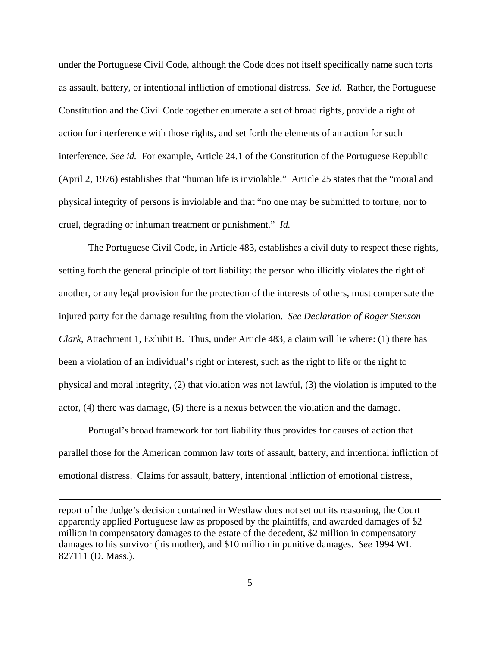under the Portuguese Civil Code, although the Code does not itself specifically name such torts as assault, battery, or intentional infliction of emotional distress. *See id.* Rather, the Portuguese Constitution and the Civil Code together enumerate a set of broad rights, provide a right of action for interference with those rights, and set forth the elements of an action for such interference. *See id.* For example, Article 24.1 of the Constitution of the Portuguese Republic (April 2, 1976) establishes that "human life is inviolable." Article 25 states that the "moral and physical integrity of persons is inviolable and that "no one may be submitted to torture, nor to cruel, degrading or inhuman treatment or punishment." *Id.* 

 The Portuguese Civil Code, in Article 483, establishes a civil duty to respect these rights, setting forth the general principle of tort liability: the person who illicitly violates the right of another, or any legal provision for the protection of the interests of others, must compensate the injured party for the damage resulting from the violation. *See Declaration of Roger Stenson Clark*, Attachment 1, Exhibit B. Thus, under Article 483, a claim will lie where: (1) there has been a violation of an individual's right or interest, such as the right to life or the right to physical and moral integrity, (2) that violation was not lawful, (3) the violation is imputed to the actor, (4) there was damage, (5) there is a nexus between the violation and the damage.

Portugal's broad framework for tort liability thus provides for causes of action that parallel those for the American common law torts of assault, battery, and intentional infliction of emotional distress. Claims for assault, battery, intentional infliction of emotional distress,

report of the Judge's decision contained in Westlaw does not set out its reasoning, the Court apparently applied Portuguese law as proposed by the plaintiffs, and awarded damages of \$2 million in compensatory damages to the estate of the decedent, \$2 million in compensatory damages to his survivor (his mother), and \$10 million in punitive damages. *See* 1994 WL 827111 (D. Mass.).

 $\overline{a}$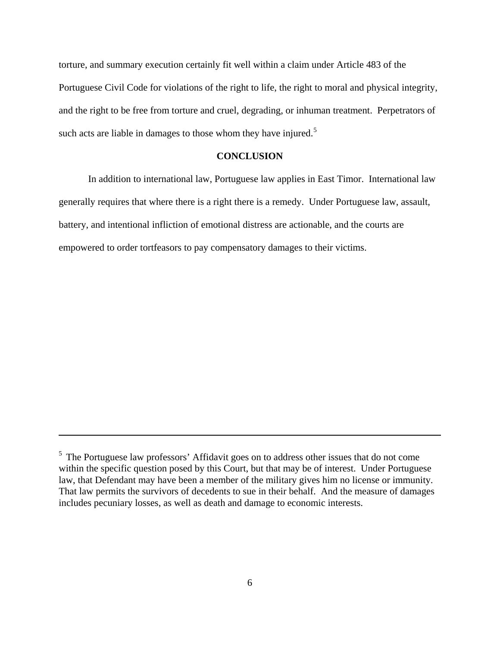torture, and summary execution certainly fit well within a claim under Article 483 of the Portuguese Civil Code for violations of the right to life, the right to moral and physical integrity, and the right to be free from torture and cruel, degrading, or inhuman treatment. Perpetrators of such acts are liable in damages to those whom they have injured.<sup>[5](#page-5-0)</sup>

### **CONCLUSION**

In addition to international law, Portuguese law applies in East Timor. International law generally requires that where there is a right there is a remedy. Under Portuguese law, assault, battery, and intentional infliction of emotional distress are actionable, and the courts are empowered to order tortfeasors to pay compensatory damages to their victims.

 $\overline{a}$ 

<span id="page-5-0"></span><sup>&</sup>lt;sup>5</sup> The Portuguese law professors' Affidavit goes on to address other issues that do not come within the specific question posed by this Court, but that may be of interest. Under Portuguese law, that Defendant may have been a member of the military gives him no license or immunity. That law permits the survivors of decedents to sue in their behalf. And the measure of damages includes pecuniary losses, as well as death and damage to economic interests.